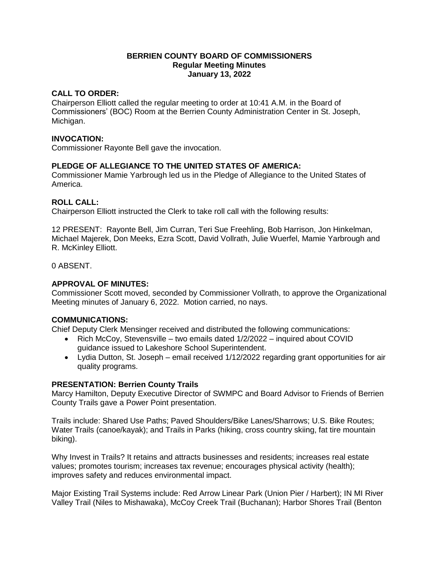## **BERRIEN COUNTY BOARD OF COMMISSIONERS Regular Meeting Minutes January 13, 2022**

#### **CALL TO ORDER:**

Chairperson Elliott called the regular meeting to order at 10:41 A.M. in the Board of Commissioners' (BOC) Room at the Berrien County Administration Center in St. Joseph, Michigan.

## **INVOCATION:**

Commissioner Rayonte Bell gave the invocation.

## **PLEDGE OF ALLEGIANCE TO THE UNITED STATES OF AMERICA:**

Commissioner Mamie Yarbrough led us in the Pledge of Allegiance to the United States of America.

## **ROLL CALL:**

Chairperson Elliott instructed the Clerk to take roll call with the following results:

12 PRESENT: Rayonte Bell, Jim Curran, Teri Sue Freehling, Bob Harrison, Jon Hinkelman, Michael Majerek, Don Meeks, Ezra Scott, David Vollrath, Julie Wuerfel, Mamie Yarbrough and R. McKinley Elliott.

0 ABSENT.

## **APPROVAL OF MINUTES:**

Commissioner Scott moved, seconded by Commissioner Vollrath, to approve the Organizational Meeting minutes of January 6, 2022. Motion carried, no nays.

#### **COMMUNICATIONS:**

Chief Deputy Clerk Mensinger received and distributed the following communications:

- Rich McCoy, Stevensville two emails dated 1/2/2022 inquired about COVID guidance issued to Lakeshore School Superintendent.
- Lydia Dutton, St. Joseph email received 1/12/2022 regarding grant opportunities for air quality programs.

#### **PRESENTATION: Berrien County Trails**

Marcy Hamilton, Deputy Executive Director of SWMPC and Board Advisor to Friends of Berrien County Trails gave a Power Point presentation.

Trails include: Shared Use Paths; Paved Shoulders/Bike Lanes/Sharrows; U.S. Bike Routes; Water Trails (canoe/kayak); and Trails in Parks (hiking, cross country skiing, fat tire mountain biking).

Why Invest in Trails? It retains and attracts businesses and residents; increases real estate values; promotes tourism; increases tax revenue; encourages physical activity (health); improves safety and reduces environmental impact.

Major Existing Trail Systems include: Red Arrow Linear Park (Union Pier / Harbert); IN MI River Valley Trail (Niles to Mishawaka), McCoy Creek Trail (Buchanan); Harbor Shores Trail (Benton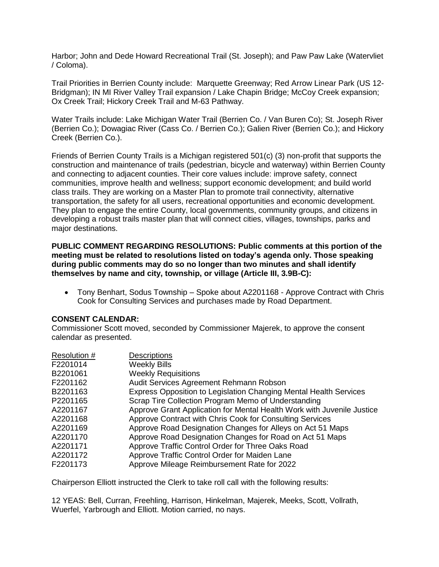Harbor; John and Dede Howard Recreational Trail (St. Joseph); and Paw Paw Lake (Watervliet / Coloma).

Trail Priorities in Berrien County include: Marquette Greenway; Red Arrow Linear Park (US 12- Bridgman); IN MI River Valley Trail expansion / Lake Chapin Bridge; McCoy Creek expansion; Ox Creek Trail; Hickory Creek Trail and M-63 Pathway.

Water Trails include: Lake Michigan Water Trail (Berrien Co. / Van Buren Co); St. Joseph River (Berrien Co.); Dowagiac River (Cass Co. / Berrien Co.); Galien River (Berrien Co.); and Hickory Creek (Berrien Co.).

Friends of Berrien County Trails is a Michigan registered 501(c) (3) non-profit that supports the construction and maintenance of trails (pedestrian, bicycle and waterway) within Berrien County and connecting to adjacent counties. Their core values include: improve safety, connect communities, improve health and wellness; support economic development; and build world class trails. They are working on a Master Plan to promote trail connectivity, alternative transportation, the safety for all users, recreational opportunities and economic development. They plan to engage the entire County, local governments, community groups, and citizens in developing a robust trails master plan that will connect cities, villages, townships, parks and major destinations.

**PUBLIC COMMENT REGARDING RESOLUTIONS: Public comments at this portion of the meeting must be related to resolutions listed on today's agenda only. Those speaking during public comments may do so no longer than two minutes and shall identify themselves by name and city, township, or village (Article III, 3.9B-C):** 

 Tony Benhart, Sodus Township – Spoke about A2201168 - Approve Contract with Chris Cook for Consulting Services and purchases made by Road Department.

#### **CONSENT CALENDAR:**

Commissioner Scott moved, seconded by Commissioner Majerek, to approve the consent calendar as presented.

| <b>Weekly Bills</b><br>F2201014<br><b>Weekly Requisitions</b><br>B2201061<br>Audit Services Agreement Rehmann Robson<br>F2201162 |  |
|----------------------------------------------------------------------------------------------------------------------------------|--|
|                                                                                                                                  |  |
|                                                                                                                                  |  |
|                                                                                                                                  |  |
| Express Opposition to Legislation Changing Mental Health Services<br>B2201163                                                    |  |
| Scrap Tire Collection Program Memo of Understanding<br>P2201165                                                                  |  |
| Approve Grant Application for Mental Health Work with Juvenile Justice<br>A2201167                                               |  |
| Approve Contract with Chris Cook for Consulting Services<br>A2201168                                                             |  |
| Approve Road Designation Changes for Alleys on Act 51 Maps<br>A2201169                                                           |  |
| Approve Road Designation Changes for Road on Act 51 Maps<br>A2201170                                                             |  |
| Approve Traffic Control Order for Three Oaks Road<br>A2201171                                                                    |  |
| Approve Traffic Control Order for Maiden Lane<br>A2201172                                                                        |  |
| Approve Mileage Reimbursement Rate for 2022<br>F2201173                                                                          |  |

Chairperson Elliott instructed the Clerk to take roll call with the following results:

12 YEAS: Bell, Curran, Freehling, Harrison, Hinkelman, Majerek, Meeks, Scott, Vollrath, Wuerfel, Yarbrough and Elliott. Motion carried, no nays.